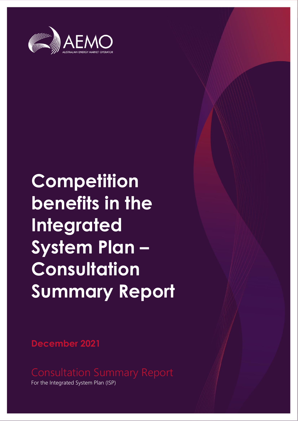

## **Competition benefits in the Integrated System Plan – Consultation Summary Report**

**December 2021**

For the Integrated System Plan (ISP)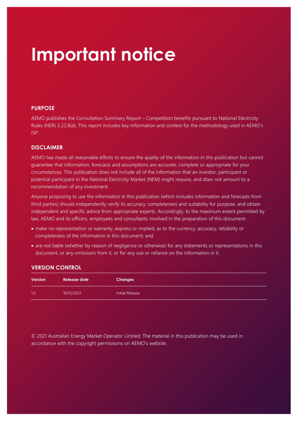## **Important notice**

#### **PURPOSE**

AEMO publishes the Consultation Summary Report – Competition benefits pursuant to National Electricity Rules (NER) 5.22.8(d). This report includes key information and context for the methodology used in AEMO's ISP.

#### **DISCLAIMER**

AEMO has made all reasonable efforts to ensure the quality of the information in this publication but cannot guarantee that information, forecasts and assumptions are accurate, complete or appropriate for your circumstances. This publication does not include all of the information that an investor, participant or potential participant in the National Electricity Market (NEM) might require, and does not amount to a recommendation of any investment.

Anyone proposing to use the information in this publication (which includes information and forecasts from third parties) should independently verify its accuracy, completeness and suitability for purpose, and obtain independent and specific advice from appropriate experts. Accordingly, to the maximum extent permitted by law, AEMO and its officers, employees and consultants involved in the preparation of this document:

- make no representation or warranty, express or implied, as to the currency, accuracy, reliability or completeness of the information in this document; and
- are not liable (whether by reason of negligence or otherwise) for any statements or representations in this document, or any omissions from it, or for any use or reliance on the information in it.

| <b>VERSION CONTROL</b> |  |  |  |
|------------------------|--|--|--|
|                        |  |  |  |
|                        |  |  |  |

| Version | Release date | <b>Changes</b>  |
|---------|--------------|-----------------|
| 1.0     | 10/12/2021   | Initial Release |

© 2021 Australian Energy Market Operator Limited. The material in this publication may be used in accordance with the copyright [permissions](http://aemo.com.au/Privacy_and_Legal_Notices/Copyright_Permissions_Notice) on AEMO's website.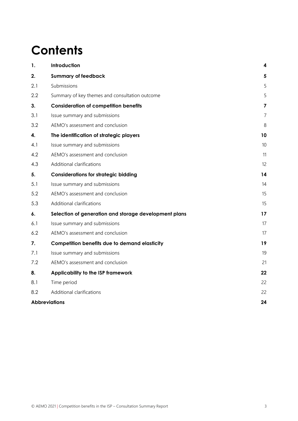## **Contents**

| 1.  | Introduction                                          | 4              |
|-----|-------------------------------------------------------|----------------|
| 2.  | <b>Summary of feedback</b>                            | 5              |
| 2.1 | Submissions                                           | 5              |
| 2.2 | Summary of key themes and consultation outcome        | 5              |
| 3.  | <b>Consideration of competition benefits</b>          | 7              |
| 3.1 | Issue summary and submissions                         | $\overline{7}$ |
| 3.2 | AEMO's assessment and conclusion                      | 8              |
| 4.  | The identification of strategic players               | 10             |
| 4.1 | Issue summary and submissions                         | 10             |
| 4.2 | AEMO's assessment and conclusion                      | 11             |
| 4.3 | Additional clarifications                             | 12             |
| 5.  | <b>Considerations for strategic bidding</b>           | 14             |
| 5.1 | Issue summary and submissions                         | 14             |
| 5.2 | AEMO's assessment and conclusion                      | 15             |
| 5.3 | Additional clarifications                             | 15             |
| 6.  | Selection of generation and storage development plans | 17             |
| 6.1 | Issue summary and submissions                         | 17             |
| 6.2 | AEMO's assessment and conclusion                      | 17             |
| 7.  | <b>Competition benefits due to demand elasticity</b>  | 19             |
| 7.1 | Issue summary and submissions                         | 19             |
| 7.2 | AEMO's assessment and conclusion                      | 21             |
| 8.  | Applicability to the ISP framework                    | 22             |
| 8.1 | Time period                                           | 22             |
| 8.2 | Additional clarifications                             | 22             |
|     | <b>Abbreviations</b>                                  | 24             |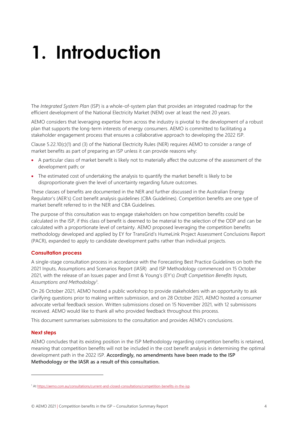## <span id="page-3-0"></span>**1. Introduction**

The *Integrated System Plan* (ISP) is a whole-of-system plan that provides an integrated roadmap for the efficient development of the National Electricity Market (NEM) over at least the next 20 years.

AEMO considers that leveraging expertise from across the industry is pivotal to the development of a robust plan that supports the long-term interests of energy consumers. AEMO is committed to facilitating a stakeholder engagement process that ensures a collaborative approach to developing the 2022 ISP.

Clause  $5.22.10(c)(1)$  and (3) of the National Electricity Rules (NER) requires AEMO to consider a range of market benefits as part of preparing an ISP unless it can provide reasons why:

- A particular class of market benefit is likely not to materially affect the outcome of the assessment of the development path; or
- The estimated cost of undertaking the analysis to quantify the market benefit is likely to be disproportionate given the level of uncertainty regarding future outcomes.

These classes of benefits are documented in the NER and further discussed in the Australian Energy Regulator's (AER's) Cost benefit analysis guidelines (CBA Guidelines). Competition benefits are one type of market benefit referred to in the NER and CBA Guidelines.

The purpose of this consultation was to engage stakeholders on how competition benefits could be calculated in the ISP, if this class of benefit is deemed to be material to the selection of the ODP and can be calculated with a proportionate level of certainty. AEMO proposed leveraging the competition benefits methodology developed and applied by EY for TransGrid's HumeLink Project Assessment Conclusions Report (PACR), expanded to apply to candidate development paths rather than individual projects.

#### **Consultation process**

A single-stage consultation process in accordance with the Forecasting Best Practice Guidelines on both the 2021 Inputs, Assumptions and Scenarios Report (IASR) and ISP Methodology commenced on 15 October 2021, with the release of an Issues paper and Ernst & Young's (EY's) *Draft Competition Benefits Inputs, Assumptions and Methodology*<sup>1</sup> .

On 26 October 2021, AEMO hosted a public workshop to provide stakeholders with an opportunity to ask clarifying questions prior to making written submission, and on 28 October 2021, AEMO hosted a consumer advocate verbal feedback session. Written submissions closed on 15 November 2021, with 12 submisisons received. AEMO would like to thank all who provided feedback throughout this process.

This document summarises submissions to the consultation and provides AEMO's conclusions.

#### **Next steps**

AEMO concludes that its existing position in the ISP Methodology regarding competition benefits is retained, meaning that competition benefits will not be included in the cost benefit analysis in determining the optimal development path in the 2022 ISP. **Accordingly, no amendments have been made to the ISP Methodology or the IASR as a result of this consultation.**

<sup>1</sup> A[t https://aemo.com.au/consultations/current-and-closed-consultations/competition-benefits-in-the-isp.](https://aemo.com.au/consultations/current-and-closed-consultations/competition-benefits-in-the-isp)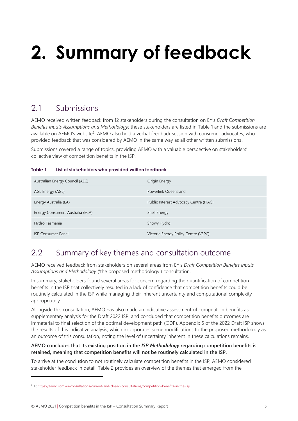# <span id="page-4-0"></span>**2. Summary of feedback**

## <span id="page-4-1"></span>2.1 Submissions

AEMO received written feedback from 12 stakeholders during the consultation on EY's *Draft Competition Benefits Inputs Assumptions and Methodology*; these stakeholders are listed in [Table 1](#page-4-3) and the submissions are available on AEMO's website<sup>2</sup>. AEMO also held a verbal feedback session with consumer advocates, who provided feedback that was considered by AEMO in the same way as all other written submissions.

Submissions covered a range of topics, providing AEMO with a valuable perspective on stakeholders' collective view of competition benefits in the ISP.

#### <span id="page-4-3"></span>**Table 1 List of stakeholders who provided written feedback**

| Australian Energy Council (AEC)  | Origin Energy                          |
|----------------------------------|----------------------------------------|
| AGL Energy (AGL)                 | Powerlink Queensland                   |
| Energy Australia (EA)            | Public Interest Advocacy Centre (PIAC) |
| Energy Consumers Australia (ECA) | Shell Energy                           |
| Hydro Tasmania                   | Snowy Hydro                            |
| <b>ISP Consumer Panel</b>        | Victoria Energy Policy Centre (VEPC)   |

### <span id="page-4-2"></span>2.2 Summary of key themes and consultation outcome

AEMO received feedback from stakeholders on several areas from EY's *Draft Competition Benefits Inputs Assumptions and Methodology* ('the proposed methodology') consultation.

In summary, stakeholders found several areas for concern regarding the quantification of competition benefits in the ISP that collectively resulted in a lack of confidence that competition benefits could be routinely calculated in the ISP while managing their inherent uncertainty and computational complexity appropriately.

Alongside this consultation, AEMO has also made an indicative assessment of competition benefits as supplementary analysis for the Draft 2022 ISP, and concluded that competition benefits outcomes are immaterial to final selection of the optimal development path (ODP). Appendix 6 of the 2022 Draft ISP shows the results of this indicative analysis, which incorporates some modifications to the proposed methodology as an outcome of this consultation, noting the level of uncertainty inherent in these calculations remains.

#### **AEMO concludes that its existing position in the** *ISP Methodology* **regarding competition benefits is retained, meaning that competition benefits will not be routinely calculated in the ISP.**

To arrive at the conclusion to not routinely calculate competition benefits in the ISP, AEMO considered stakeholder feedback in detail[. Table 2](#page-5-0) provides an overview of the themes that emerged from the

<sup>&</sup>lt;sup>2</sup> A[t https://aemo.com.au/consultations/current-and-closed-consultations/competition-benefits-in-the-isp.](https://aemo.com.au/consultations/current-and-closed-consultations/competition-benefits-in-the-isp)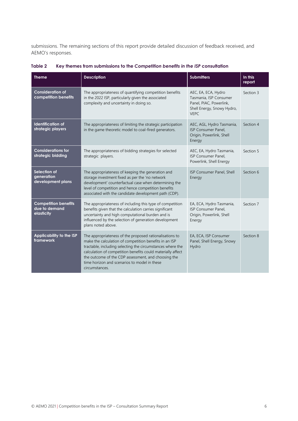submissions. The remaining sections of this report provide detailed discussion of feedback received, and AEMO's responses.

| <b>Theme</b>                                               | <b>Description</b>                                                                                                                                                                                                                                                                                                                                                      | <b>Submitters</b>                                                                                                     | In this<br>report |
|------------------------------------------------------------|-------------------------------------------------------------------------------------------------------------------------------------------------------------------------------------------------------------------------------------------------------------------------------------------------------------------------------------------------------------------------|-----------------------------------------------------------------------------------------------------------------------|-------------------|
| <b>Consideration of</b><br>competition benefits            | The appropriateness of quantifying competition benefits<br>in the 2022 ISP, particularly given the associated<br>complexity and uncertainty in doing so.                                                                                                                                                                                                                | AEC, EA, ECA, Hydro<br>Tasmania, ISP Consumer<br>Panel, PIAC, Powerlink,<br>Shell Energy, Snowy Hydro,<br><b>VEPC</b> | Section 3         |
| <b>Identification of</b><br>strategic players              | The appropriateness of limiting the strategic participation<br>in the game theoretic model to coal-fired generators.                                                                                                                                                                                                                                                    | AEC, AGL, Hydro Tasmania,<br>ISP Consumer Panel,<br>Origin, Powerlink, Shell<br>Energy                                | Section 4         |
| <b>Considerations for</b><br>strategic bidding             | The appropriateness of bidding strategies for selected<br>strategic players.                                                                                                                                                                                                                                                                                            | AEC, EA, Hydro Tasmania,<br>ISP Consumer Panel,<br>Powerlink, Shell Energy                                            | Section 5         |
| Selection of<br>generation<br>development plans            | The appropriateness of keeping the generation and<br>storage investment fixed as per the 'no network<br>development' counterfactual case when determining the<br>level of competition and hence competition benefits<br>associated with the candidate development path (CDP).                                                                                           | ISP Consumer Panel, Shell<br>Energy                                                                                   | Section 6         |
| <b>Competition benefits</b><br>due to demand<br>elasticity | The appropriateness of including this type of competition<br>benefits given that the calculation carries significant<br>uncertainty and high computational burden and is<br>influenced by the selection of generation development<br>plans noted above.                                                                                                                 | EA, ECA, Hydro Tasmania,<br>ISP Consumer Panel,<br>Origin, Powerlink, Shell<br>Energy                                 | Section 7         |
| Applicability to the ISP<br>framework                      | The appropriateness of the proposed rationalisations to<br>make the calculation of competition benefits in an ISP<br>tractable, including selecting the circumstances where the<br>calculation of competition benefits could materially affect<br>the outcome of the CDP assessment, and choosing the<br>time horizon and scenarios to model in these<br>circumstances. | EA, ECA, ISP Consumer<br>Panel, Shell Energy, Snowy<br>Hydro                                                          | Section 8         |

<span id="page-5-0"></span>**Table 2 Key themes from submissions to the** *Competition benefits in the ISP* **consultation**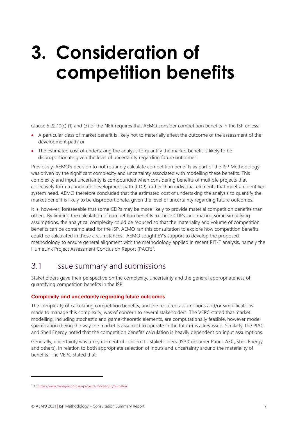## <span id="page-6-0"></span>**3. Consideration of competition benefits**

Clause 5.22.10(c) (1) and (3) of the NER requires that AEMO consider competition benefits in the ISP unless:

- A particular class of market benefit is likely not to materially affect the outcome of the assessment of the development path; or
- The estimated cost of undertaking the analysis to quantify the market benefit is likely to be disproportionate given the level of uncertainty regarding future outcomes.

Previously, AEMO's decision to not routinely calculate competition benefits as part of the ISP Methodology was driven by the significant complexity and uncertainty associated with modelling these benefits. This complexity and input uncertainty is compounded when considering benefits of multiple projects that collectively form a candidate development path (CDP), rather than individual elements that meet an identified system need. AEMO therefore concluded that the estimated cost of undertaking the analysis to quantify the market benefit is likely to be disproportionate, given the level of uncertainty regarding future outcomes.

It is, however, foreseeable that some CDPs may be more likely to provide material competition benefits than others. By limiting the calculation of competition benefits to these CDPs, and making some simplifying assumptions, the analytical complexity could be reduced so that the materiality and volume of competition benefits can be contemplated for the ISP. AEMO ran this consultation to explore how competition benefits could be calculated in these circumstances. AEMO sought EY's support to develop the proposed methodology to ensure general alignment with the methodology applied in recent RIT-T analysis, namely the HumeLink Project Assessment Conclusion Report (PACR)<sup>3</sup>.

### <span id="page-6-1"></span>3.1 Issue summary and submissions

Stakeholders gave their perspective on the complexity, uncertainty and the general appropriateness of quantifying competition benefits in the ISP.

#### **Complexity and uncertainty regarding future outcomes**

The complexity of calculating competition benefits, and the required assumptions and/or simplifications made to manage this complexity, was of concern to several stakeholders. The VEPC stated that market modelling, including stochastic and game-theoretic elements, are computationally feasible, however model specification (being the way the market is assumed to operate in the future) is a key issue. Similarly, the PIAC and Shell Energy noted that the competition benefits calculation is heavily dependent on input assumptions.

Generally, uncertainty was a key element of concern to stakeholders (ISP Consumer Panel, AEC, Shell Energy and others), in relation to both appropriate selection of inputs and uncertainty around the materiality of benefits. The VEPC stated that:

<sup>&</sup>lt;sup>3</sup> At https://www.transgrid.com.au/projects-innovation/humelink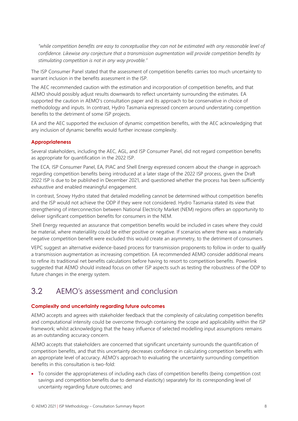*"while competition benefits are easy to conceptualise they can not be estimated with any reasonable level of confidence. Likewise any conjecture that a transmission augmentation will provide competition benefits by stimulating competition is not in any way provable."*

The ISP Consumer Panel stated that the assessment of competition benefits carries too much uncertainty to warrant inclusion in the benefits assessment in the ISP.

The AEC recommended caution with the estimation and incorporation of competition benefits, and that AEMO should possibly adjust results downwards to reflect uncertainty surrounding the estimates. EA supported the caution in AEMO's consultation paper and its approach to be conservative in choice of methodology and inputs. In contrast, Hydro Tasmania expressed concern around understating competition benefits to the detriment of some ISP projects.

EA and the AEC supported the exclusion of dynamic competition benefits, with the AEC acknowledging that any inclusion of dynamic benefits would further increase complexity.

#### **Appropriateness**

Several stakeholders, including the AEC, AGL, and ISP Consumer Panel, did not regard competition benefits as appropriate for quantification in the 2022 ISP.

The ECA, ISP Consumer Panel, EA, PIAC and Shell Energy expressed concern about the change in approach regarding competition benefits being introduced at a later stage of the 2022 ISP process, given the Draft 2022 ISP is due to be published in December 2021, and questioned whether the process has been sufficiently exhaustive and enabled meaningful engagement.

In contrast, Snowy Hydro stated that detailed modelling cannot be determined without competition benefits and the ISP would not achieve the ODP if they were not considered. Hydro Tasmania stated its view that strengthening of interconnection between National Electricity Market (NEM) regions offers an opportunity to deliver significant competition benefits for consumers in the NEM.

Shell Energy requested an assurance that competition benefits would be included in cases where they could be material, where materialility could be either positive or negative. If scenarios where there was a materially negative competition benefit were excluded this would create an asymmetry, to the detriment of consumers.

VEPC suggest an alternative evidence-based process for transmission proponents to follow in order to qualify a transmission augmentation as increasing competition. EA recommended AEMO consider additional means to refine its traditional net benefits calculations before having to resort to competition benefits. Powerlink suggested that AEMO should instead focus on other ISP aspects such as testing the robustness of the ODP to future changes in the energy system.

### <span id="page-7-0"></span>3.2 AEMO's assessment and conclusion

#### **Complexity and uncertainty regarding future outcomes**

AEMO accepts and agrees with stakeholder feedback that the complexity of calculating competition benefits and computational intensity could be overcome through containing the scope and applicability within the ISP framework; whilst acknowledging that the heavy influence of selected modelling input assumptions remains as an outstanding accuracy concern.

AEMO accepts that stakeholders are concerned that significant uncertainty surrounds the quantification of competition benefits, and that this uncertainty decreases confidence in calculating competition benefits with an appropriate level of accuracy. AEMO's approach to evaluating the uncertainty surrounding competition benefits in this consultation is two-fold:

• To consider the appropriateness of including each class of competition benefits (being competition cost savings and competition benefits due to demand elasticity) separately for its corresponding level of uncertainty regarding future outcomes; and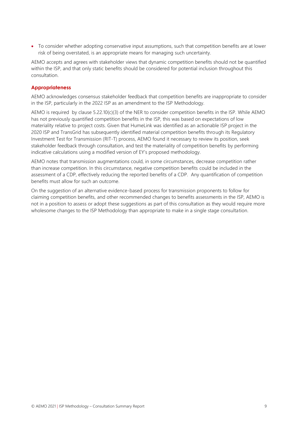• To consider whether adopting conservative input assumptions, such that competition benefits are at lower risk of being overstated, is an appropriate means for managing such uncertainty.

AEMO accepts and agrees with stakeholder views that dynamic competition benefits should not be quantified within the ISP, and that only static benefits should be considered for potential inclusion throughout this consultation.

#### **Appropriateness**

AEMO acknowledges consensus stakeholder feedback that competition benefits are inappropriate to consider in the ISP, particularly in the 2022 ISP as an amendment to the ISP Methodology.

AEMO is required by clause 5.22.10(c)(3) of the NER to consider competition benefits in the ISP. While AEMO has not previously quantified competition benefits in the ISP, this was based on expectations of low materiality relative to project costs. Given that HumeLink was identified as an actionable ISP project in the 2020 ISP and TransGrid has subsequently identified material competition benefits through its Regulatory Investment Test for Transmission (RIT-T) process, AEMO found it necessary to review its position, seek stakeholder feedback through consultation, and test the materiality of competition benefits by performing indicative calculations using a modified version of EY's proposed methodology.

AEMO notes that transmission augmentations could, in some circumstances, decrease competition rather than increase competition. In this circumstance, negative competition benefits could be included in the assessment of a CDP, effectively reducing the reported benefits of a CDP. Any quantification of competition benefits must allow for such an outcome.

On the suggestion of an alternative evidence-based process for transmission proponents to follow for claiming competition benefits, and other recommended changes to benefits assessments in the ISP, AEMO is not in a position to assess or adopt these suggestions as part of this consultation as they would require more wholesome changes to the ISP Methodology than appropriate to make in a single stage consultation.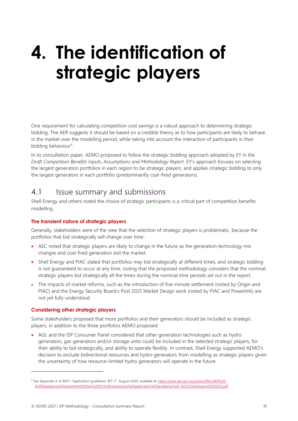## <span id="page-9-0"></span>**4. The identification of strategic players**

One requirement for calculating competition cost savings is a robust approach to determining strategic bidding. The AER suggests it should be based on a credible theory as to how participants are likely to behave in the market over the modelling period, while taking into account the interaction of participants in their bidding behaviour<sup>4</sup>.

In its consultation paper, AEMO proposed to follow the strategic bidding approach adopted by EY in the *Draft Competition Benefits Inputs, Assumptions and Methodology Report*. EY's approach focuses on selecting the largest generation portfolios in each region to be strategic players, and applies strategic bidding to only the largest generators in each portfolio (predominantly coal-fired generators).

### <span id="page-9-1"></span>4.1 **Issue summary and submissions**

Shell Energy and others noted the choice of strategic participants is a critical part of competition benefits modelling.

#### **The transient nature of strategic players**

Generally, stakeholders were of the view that the selection of strategic players is problematic, because the portfolios that bid strategically will change over time:

- AEC noted that strategic players are likely to change in the future as the generation technology mix changes and coal-fired generation exit the market.
- Shell Energy and PIAC stated that portfolios may bid strategically at different times, and strategic bidding is not guaranteed to occur at any time, noting that the proposed methodology considers that the nominal strategic players bid strategically all the times during the nominal time periods set out in the report.
- The impacts of market reforms, such as the introduction of five-minute settlement (noted by Origin and PIAC) and the Energy Security Board's Post 2025 Market Design work (noted by PIAC and Powerlink) are not yet fully understood.

#### **Considering other strategic players**

Some stakeholders proposed that more portfolios and their generators should be included as strategic players, in addition to the three portfolios AEMO proposed:

• AGL and the ISP Consumer Panel considered that other generation technologies such as hydro generators, gas generators and/or storage units could be included in the selected strategic players, for their ability to bid strategically, and ability to operate flexibly. In contrast, Shell Energy supported AEMO's decision to exclude bidirectional resources and hydro generators from modelling as strategic players given the uncertainty of how resource-limited hydro generators will operate in the future.

<sup>4</sup> See Appendix A of AER's "Application guidelines: RIT–T", August 2020, available at[: https://www.aer.gov.au/system/files/AER%20-](https://www.aer.gov.au/system/files/AER%20-%20Regulatory%20investment%20test%20for%20transmission%20application%20guidelines%20-%2025%20August%202020.pdf) [%20Regulatory%20investment%20test%20for%20transmission%20application%20guidelines%20-%2025%20August%202020.pdf](https://www.aer.gov.au/system/files/AER%20-%20Regulatory%20investment%20test%20for%20transmission%20application%20guidelines%20-%2025%20August%202020.pdf)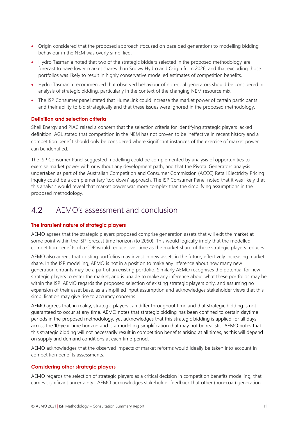- Origin considered that the proposed approach (focused on baseload generation) to modelling bidding behaviour in the NEM was overly simplified.
- Hydro Tasmania noted that two of the strategic bidders selected in the proposed methodology are forecast to have lower market shares than Snowy Hydro and Origin from 2026, and that excluding those portfolios was likely to result in highly conservative modelled estimates of competition benefits.
- Hydro Tasmania recommended that observed behaviour of non-coal generators should be considered in analysis of strategic bidding, particularly in the context of the changing NEM resource mix.
- The ISP Consumer panel stated that HumeLink could increase the market power of certain participants and their ability to bid strategically and that these issues were ignored in the proposed methodology.

#### **Definition and selection criteria**

Shell Energy and PIAC raised a concern that the selection criteria for identifying strategic players lacked definition. AGL stated that competition in the NEM has not proven to be ineffective in recent history and a competition benefit should only be considered where significant instances of the exercise of market power can be identified.

The ISP Consumer Panel suggested modelling could be complemented by analysis of opportunities to exercise market power with or without any development path, and that the Pivotal Generators analysis undertaken as part of the Australian Competition and Consumer Commission (ACCC) Retail Electricity Pricing Inquiry could be a complementary 'top down' approach. The ISP Consumer Panel noted that it was likely that this analysis would reveal that market power was more complex than the simplifying assumptions in the proposed methodology.

### <span id="page-10-0"></span>4.2 AEMO's assessment and conclusion

#### **The transient nature of strategic players**

AEMO agrees that the strategic players proposed comprise generation assets that will exit the market at some point within the ISP forecast time horizon (to 2050). This would logically imply that the modelled competition benefits of a CDP would reduce over time as the market share of these strategic players reduces.

AEMO also agrees that existing portfolios may invest in new assets in the future, effectively increasing market share. In the ISP modelling, AEMO is not in a position to make any inference about how many new generation entrants may be a part of an existing portfolio. Similarly AEMO recognises the potential for new strategic players to enter the market, and is unable to make any inference about what these portfolios may be within the ISP. AEMO regards the proposed selection of existing strategic players only, and assuming no expansion of their asset base, as a simplified input assumption and acknowledges stakeholder views that this simplification may give rise to accuracy concerns.

AEMO agrees that, in reality, strategic players can differ throughout time and that strategic bidding is not guaranteed to occur at any time. AEMO notes that strategic bidding has been confined to certain daytime periods in the proposed methodology, yet acknowledges that this strategic bidding is applied for all days across the 10-year time horizon and is a modelling simplification that may not be realistic. AEMO notes that this strategic bidding will not necessarily result in competition benefits arising at all times, as this will depend on supply and demand conditions at each time period.

AEMO acknowledges that the observed impacts of market reforms would ideally be taken into account in competition benefits assessments.

#### **Considering other strategic players**

AEMO regards the selection of strategic players as a critical decision in competition benefits modelling, that carries significant uncertainty. AEMO acknowledges stakeholder feedback that other (non-coal) generation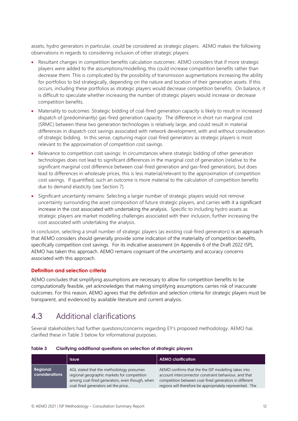assets, hydro generators in particular, could be considered as strategic players. AEMO makes the following observations in regards to considering inclusion of other strategic players:

- Resultant changes in competition benefits calculation outcomes: AEMO considers that if more strategic players were added to the assumptions/modelling, this could increase competition benefits rather than decrease them. This is complicated by the possibility of transmission augmentations increasing the ability for portfolios to bid strategically, depending on the nature and location of their generation assets. If this occurs, including these portfolios as strategic players would decrease competition benefits. On balance, it is difficult to speculate whether increasing the number of strategic players would increase or decrease competition benefits.
- Materiality to outcomes: Strategic bidding of coal-fired generation capacity is likely to result in increased dispatch of (predominantly) gas-fired generation capacity. The difference in short run marginal cost (SRMC) between these two generation technologies is relatively large, and could result in material differences in dispatch cost savings associated with network development, with and without consideration of strategic bidding. In this sense, capturing major coal-fired generators as strategic players is most relevant to the approximation of competition cost savings.
- Relevance to competition cost savings: In circumstances where strategic bidding of other generation technologies does not lead to significant differences in the marginal cost of generation (relative to the significant marginal cost difference between coal-fired generation and gas-fired generation), but does lead to differences in wholesale prices, this is less material/relevant to the approximation of competition cost savings. If quantified, such an outcome is more material to the calculation of competition benefits due to demand elasticity (see Section 7).
- Significant uncertainty remains: Selecting a larger number of strategic players would not remove uncertainty surrounding the asset composition of future strategic players, and carries with it a significant increase in the cost associated with undertaking the analysis. Specific to including hydro assets as strategic players are market modelling challenges associated with their inclusion, further increasing the cost associated with undertaking the analysis.

In conclusion, selecting a small number of strategic players (as existing coal-fired generators) is an approach that AEMO considers should generally provide some indication of the materiality of competition benefits, specifically competition cost savings. For its indicative assessment (in Appendix 6 of the Draft 2022 ISP), AEMO has taken this approach. AEMO remains cognisant of the uncertainty and accuracy concerns associated with this approach.

#### **Definition and selection criteria**

AEMO concludes that simplifying assumptions are necessary to allow for competition benefits to be computationally feasible, yet acknowledges that making simplifying assumptions carries risk of inaccurate outcomes. For this reason, AEMO agrees that the definition and selection criteria for strategic players must be transparent, and evidenced by available literature and current analysis.

### <span id="page-11-0"></span>4.3 Additional clarifications

Several stakeholders had further questions/concerns regarding EY's proposed methodology. AEMO has clarified these in [Table 3](#page-11-1) below for informational purposes.

<span id="page-11-1"></span>

| Table 3 | Clarifying additional questions on selection of strategic players |  |  |  |  |  |  |
|---------|-------------------------------------------------------------------|--|--|--|--|--|--|
|---------|-------------------------------------------------------------------|--|--|--|--|--|--|

|                            | <b>Issue</b>                                                                                                                                                                      | <b>AEMO clarification</b>                                                                                                                                                                                                          |
|----------------------------|-----------------------------------------------------------------------------------------------------------------------------------------------------------------------------------|------------------------------------------------------------------------------------------------------------------------------------------------------------------------------------------------------------------------------------|
| Regional<br>considerations | AGL stated that the methodology presumes<br>regional geographic markets for competition<br>among coal-fired generators, even though, when<br>coal-fired generators set the price, | AEMO confirms that the the ISP modelling takes into<br>account interconnector constraint behaviour, and that<br>competition between coal-fired generators in different<br>regions will therefore be appropriately represented. The |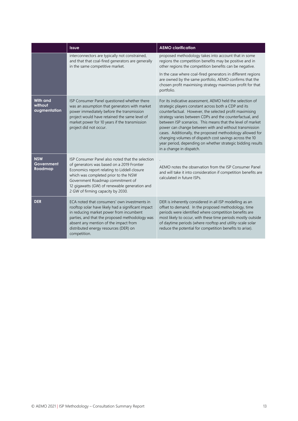|                                            | <b>Issue</b>                                                                                                                                                                                                                                                                                                     | <b>AEMO clarification</b>                                                                                                                                                                                                                                                                                                                                                                                                                                                                                                                                                           |
|--------------------------------------------|------------------------------------------------------------------------------------------------------------------------------------------------------------------------------------------------------------------------------------------------------------------------------------------------------------------|-------------------------------------------------------------------------------------------------------------------------------------------------------------------------------------------------------------------------------------------------------------------------------------------------------------------------------------------------------------------------------------------------------------------------------------------------------------------------------------------------------------------------------------------------------------------------------------|
|                                            | interconnectors are typically not constrained,<br>and that that coal-fired generators are generally<br>in the same competitive market.                                                                                                                                                                           | proposed methodology takes into account that in some<br>regions the competition benefits may be positive and in<br>other regions the competition benefits can be negative.                                                                                                                                                                                                                                                                                                                                                                                                          |
|                                            |                                                                                                                                                                                                                                                                                                                  | In the case where coal-fired generators in different regions<br>are owned by the same portfolio, AEMO confirms that the<br>chosen profit maximising strategy maximises profit for that<br>portfolio.                                                                                                                                                                                                                                                                                                                                                                                |
| <b>With and</b><br>without<br>augmentation | ISP Consumer Panel questioned whether there<br>was an assumption that generators with market<br>power immediately before the transmission<br>project would have retained the same level of<br>market power for 10 years if the transmission<br>project did not occur.                                            | For its indicative assessment, AEMO held the selection of<br>strategic players constant across both a CDP and its<br>counterfactual. However, the selected profit maximising<br>strategy varies between CDPs and the counterfactual, and<br>between ISP scenarios. This means that the level of market<br>power can change between with and without transmission<br>cases. Additionally, the proposed methodology allowed for<br>changing volumes of dispatch cost savings across the 10<br>year period, depending on whether strategic bidding results<br>in a change in dispatch. |
| <b>NSW</b><br>Government<br>Roadmap        | ISP Consumer Panel also noted that the selection<br>of generators was based on a 2019 Frontier<br>Economics report relating to Liddell closure<br>which was completed prior to the NSW<br>Government Roadmap commitment of<br>12 gigawatts (GW) of renewable generation and<br>2 GW of firming capacity by 2030. | AEMO notes the observation from the ISP Consumer Panel<br>and will take it into consideration if competition benefits are<br>calculated in future ISPs.                                                                                                                                                                                                                                                                                                                                                                                                                             |
| <b>DER</b>                                 | ECA noted that consumers' own investments in<br>rooftop solar have likely had a significant impact<br>in reducing market power from incumbent<br>parties, and that the proposed methodology was<br>absent any mention of the impact from<br>distributed energy resources (DER) on<br>competition.                | DER is inherently considered in all ISP modelling as an<br>offset to demand. In the proposed methodology, time<br>periods were identified where competition benefits are<br>most likely to occur, with these time periods mostly outside<br>of daytime periods (where rooftop and utility-scale solar<br>reduce the potential for competition benefits to arise).                                                                                                                                                                                                                   |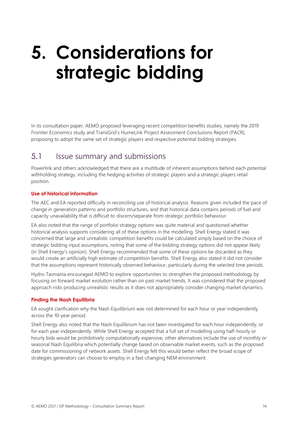## <span id="page-13-0"></span>**5. Considerations for strategic bidding**

In its consultation paper, AEMO proposed leveraging recent competition benefits studies, namely the 2019 Frontier Economics study and TransGrid's HumeLink Project Assessment Conclusions Report (PACR), proposing to adopt the same set of strategic players and respective potential bidding strategies.

## <span id="page-13-1"></span>5.1 Issue summary and submissions

Powerlink and others acknowledged that there are a multitude of inherent assumptions behind each potential withholding strategy, including the hedging activities of strategic players and a strategic players retail position.

#### **Use of historical information**

The AEC and EA reported difficulty in reconciling use of historical analysis. Reasons given included the pace of change in generation patterns and portfolio structures, and that historical data contains periods of fuel and capacity unavailability that is difficult to discern/separate from strategic portfolio behaviour.

EA also noted that the range of portfolio strategy options was quite material and questioned whether historical analysis supports considering all of these options in the modelling. Shell Energy stated it was concerned that large and unrealistic competition benefits could be calculated simply based on the choice of strategic bidding input assumptions, noting that some of the bidding strategy options did not appear likely (in Shell Energy's opinion). Shell Energy recommended that some of these options be discarded as they would create an artificially high estimate of competition benefits. Shell Energy also stated it did not consider that the assumptions represent historically observed behaviour, particularly during the selected time periods.

Hydro Tasmania encouraged AEMO to explore opportunities to strengthen the proposed methodology by focusing on forward market evolution rather than on past market trends. It was considered that the proposed approach risks producing unrealistic results as it does not appropriately consider changing market dynamics.

#### **Finding the Nash Equilibria**

EA sought clarification why the Nash Equilibrium was not determined for each hour or year independently across the 10-year period.

Shell Energy also noted that the Nash Equilibrium has not been investigated for each hour independently, or for each year independently. While Shell Energy accepted that a full set of modelling using half-hourly or hourly bids would be prohibitively computationally expensive, other alternatives include the use of monthly or seasonal Nash Equilibria which potentially change based on observable market events, such as the proposed date for commissioning of network assets. Shell Energy felt this would better reflect the broad scope of strategies generators can choose to employ in a fast-changing NEM environment.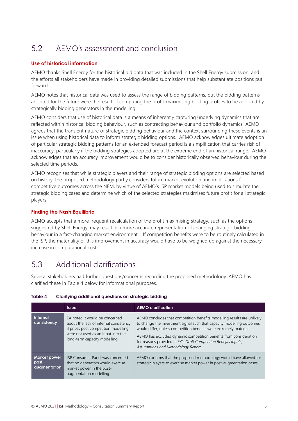## <span id="page-14-0"></span>5.2 AEMO's assessment and conclusion

#### **Use of historical information**

AEMO thanks Shell Energy for the historical bid data that was included in the Shell Energy submission, and the efforts all stakeholders have made in providing detailed submissions that help substantiate positions put forward.

AEMO notes that historical data was used to assess the range of bidding patterns, but the bidding patterns adopted for the future were the result of computing the profit-maximising bidding profiles to be adopted by strategically bidding generators in the modelling.

AEMO considers that use of historical data is a means of inherently capturing underlying dynamics that are reflected within historical bidding behaviour, such as contracting behaviour and portfolio dynamics. AEMO agrees that the transient nature of strategic bidding behaviour and the context surrounding these events is an issue when using historical data to inform strategic bidding options. AEMO acknowledges ultimate adoption of particular strategic bidding patterns for an extended forecast period is a simplification that carries risk of inaccuracy, particularly if the bidding strategies adopted are at the extreme end of an historical range. AEMO acknowledges that an accuracy improvement would be to consider historically observed behaviour during the selected time periods.

AEMO recognises that while strategic players and their range of strategic bidding options are selected based on history, the proposed methodology partly considers future market evolution and implications for competitive outcomes across the NEM, by virtue of AEMO's ISP market models being used to simulate the strategic bidding cases and determine which of the selected strategies maximises future profit for all strategic players.

#### **Finding the Nash Equilibria**

AEMO accepts that a more frequent recalculation of the profit maximising strategy, such as the options suggested by Shell Energy, may result in a more accurate representation of changing strategic bidding behaviour in a fast-changing market environment. If competition benefits were to be routinely calculated in the ISP, the materiality of this improvement in accuracy would have to be weighed up against the necessary increase in computational cost.

### <span id="page-14-1"></span>5.3 Additional clarifications

Several stakeholders had further questions/concerns regarding the proposed methodology. AEMO has clarified these in [Table 4](#page-14-2) below for informational purposes.

|                                             | <b>Issue</b>                                                                                                                                                                            | <b>AEMO clarification</b>                                                                                                                                                                                                                                                                                                                                                                             |
|---------------------------------------------|-----------------------------------------------------------------------------------------------------------------------------------------------------------------------------------------|-------------------------------------------------------------------------------------------------------------------------------------------------------------------------------------------------------------------------------------------------------------------------------------------------------------------------------------------------------------------------------------------------------|
| Internal<br>consistency                     | EA noted it would be concerned<br>about the lack of internal consistency<br>if prices post competition modelling<br>were not used as an input into the<br>long-term capacity modelling. | AEMO concludes that competition benefits modelling results are unlikely<br>to change the investment signal such that capacity modelling outcomes<br>would differ, unless competition benefits were extremely material.<br>AEMO has excluded dynamic competition benefits from consideration<br>for reasons provided in EY's Draft Competition Benefits Inputs,<br>Assumptions and Methodology Report. |
| <b>Market power</b><br>post<br>augmentation | <b>ISP Consumer Panel was concerned</b><br>that no generators would exercise<br>market power in the post-<br>augmentation modelling.                                                    | AEMO confirms that the proposed methodology would have allowed for<br>strategic players to exercise market power in post-augmentation cases.                                                                                                                                                                                                                                                          |

#### <span id="page-14-2"></span>**Table 4 Clarifying additional questions on strategic bidding**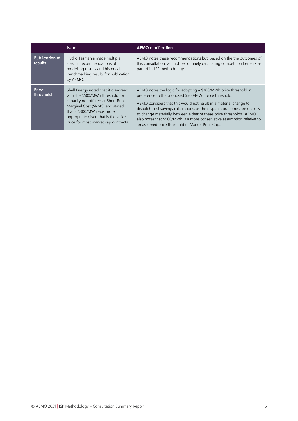|                                  | <b>Issue</b>                                                                                                                                                                                                                                                  | <b>AEMO clarification</b>                                                                                                                                                                                                                                                                                                                                                                                                                                                       |
|----------------------------------|---------------------------------------------------------------------------------------------------------------------------------------------------------------------------------------------------------------------------------------------------------------|---------------------------------------------------------------------------------------------------------------------------------------------------------------------------------------------------------------------------------------------------------------------------------------------------------------------------------------------------------------------------------------------------------------------------------------------------------------------------------|
| <b>Publication of</b><br>results | Hydro Tasmania made multiple<br>specific recommendations of<br>modelling results and historical<br>benchmarking results for publication<br>by AEMO.                                                                                                           | AEMO notes these recommendations but, based on the the outcomes of<br>this consultation, will not be routinely calculating competition benefits as<br>part of its ISP methodology.                                                                                                                                                                                                                                                                                              |
| Price<br>threshold               | Shell Energy noted that it disagreed<br>with the \$500/MWh threshold for<br>capacity not offered at Short Run<br>Marginal Cost (SRMC) and stated<br>that a \$300/MWh was more<br>appropriate given that is the strike<br>price for most market cap contracts. | AEMO notes the logic for adopting a \$300/MWh price threshold in<br>preference to the proposed \$500/MWh price threshold.<br>AEMO considers that this would not result in a material change to<br>dispatch cost savings calculations, as the dispatch outcomes are unlikely<br>to change materially between either of these price thresholds. AEMO<br>also notes that \$500/MWh is a more conservative assumption relative to<br>an assumed price threshold of Market Price Cap |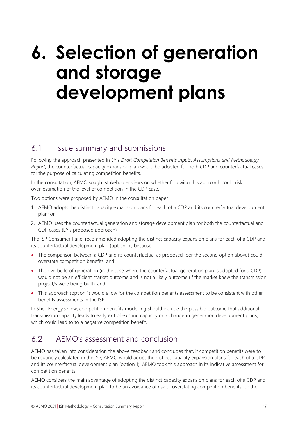## <span id="page-16-0"></span>**6. Selection of generation and storage development plans**

### <span id="page-16-1"></span>6.1 Issue summary and submissions

Following the approach presented in EY's *Draft Competition Benefits Inputs, Assumptions and Methodology Report*, the counterfactual capacity expansion plan would be adopted for both CDP and counterfactual cases for the purpose of calculating competition benefits.

In the consultation, AEMO sought stakeholder views on whether following this approach could risk over-estimation of the level of competition in the CDP case.

Two options were proposed by AEMO in the consultation paper:

- 1. AEMO adopts the distinct capacity expansion plans for each of a CDP and its counterfactual development plan; or
- 2. AEMO uses the counterfactual generation and storage development plan for both the counterfactual and CDP cases (EY's proposed approach)

The ISP Consumer Panel recommended adopting the distinct capacity expansion plans for each of a CDP and its counterfactual development plan (option 1) , because:

- The comparison between a CDP and its counterfactual as proposed (per the second option above) could overstate competition benefits; and
- The overbuild of generation (in the case where the counterfactual generation plan is adopted for a CDP) would not be an efficient market outcome and is not a likely outcome (if the market knew the transmission project/s were being built); and
- This approach (option 1) would allow for the competition benefits assessment to be consistent with other benefits assessments in the ISP.

In Shell Energy's view, competition benefits modelling should include the possible outcome that additional transmission capacity leads to early exit of existing capacity or a change in generation development plans, which could lead to to a negative competition benefit.

### <span id="page-16-2"></span>6.2 AEMO's assessment and conclusion

AEMO has taken into consideration the above feedback and concludes that, if competition benefits were to be routinely calculated in the ISP, AEMO would adopt the distinct capacity expansion plans for each of a CDP and its counterfactual development plan (option 1). AEMO took this approach in its indicative assessment for competition benefits.

AEMO considers the main advantage of adopting the distinct capacity expansion plans for each of a CDP and its counterfactual development plan to be an avoidance of risk of overstating competition benefits for the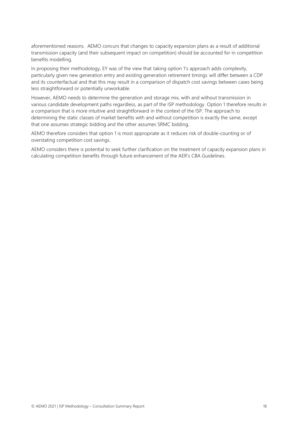aforementioned reasons. AEMO concurs that changes to capacity expansion plans as a result of additional transmission capacity (and their subsequent impact on competition) should be accounted for in competition benefits modelling.

In proposing their methodology, EY was of the view that taking option 1's approach adds complexity, particularly given new generation entry and existing generation retirement timings will differ between a CDP and its counterfactual and that this may result in a comparison of dispatch cost savings between cases being less straightforward or potentially unworkable.

However, AEMO needs to determine the generation and storage mix, with and without transmission in various candidate development paths regardless, as part of the ISP methodology. Option 1 therefore results in a comparison that is more intuitive and straightforward in the context of the ISP. The approach to determining the static classes of market benefits with and without competition is exactly the same, except that one assumes strategic bidding and the other assumes SRMC bidding.

AEMO therefore considers that option 1 is most appropriate as it reduces risk of double-counting or of overstating competition cost savings.

AEMO considers there is potential to seek further clarification on the treatment of capacity expansion plans in calculating competition benefits through future enhancement of the AER's CBA Guidelines.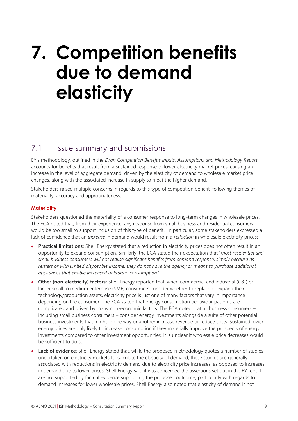## <span id="page-18-0"></span>**7. Competition benefits due to demand elasticity**

### <span id="page-18-1"></span>7.1 **Issue summary and submissions**

EY's methodology, outlined in the *Draft Competition Benefits Inputs, Assumptions and Methodology Report*, accounts for benefits that result from a sustained response to lower electricity market prices, causing an increase in the level of aggregate demand, driven by the elasticity of demand to wholesale market price changes, along with the associated increase in supply to meet the higher demand.

Stakeholders raised multiple concerns in regards to this type of competition benefit, following themes of materiality, accuracy and appropriateness.

#### **Materiality**

Stakeholders questioned the materiality of a consumer response to long-term changes in wholesale prices. The ECA noted that, from their experience, any response from small business and residential consumers would be too small to support inclusion of this type of benefit. In particular, some stakeholders expressed a lack of confidence that an *increase* in demand would result from a *reduction* in wholesale electricity prices:

- **Practical limitations:** Shell Energy stated that a reduction in electricity prices does not often result in an opportunity to expand consumption. Similarly, the ECA stated their expectation that "*most residential and small business consumers will not realise significant benefits from demand response, simply because as renters or with limited disposable income, they do not have the agency or means to purchase additional appliances that enable increased utilitarian consumption".*
- **Other (non-electricity) factors:** Shell Energy reported that, when commercial and industrial (C&I) or larger small to medium enterprise (SME) consumers consider whether to replace or expand their technology/production assets, electricity price is just one of many factors that vary in importance depending on the consumer. The ECA stated that energy consumption behaviour patterns are complicated and driven by many non-economic factors. The ECA noted that all business consumers – including small business consumers – consider energy investments alongside a suite of other potential business investments that might in one way or another increase revenue or reduce costs. Sustained lower energy prices are only likely to increase consumption if they materially improve the prospects of energy investments compared to other investment opportunities. It is unclear if wholesale price decreases would be sufficient to do so.
- **Lack of evidence**: Shell Energy stated that, while the proposed methodology quotes a number of studies undertaken on electricity markets to calculate the elasticity of demand, these studies are generally associated with reductions in electricity demand due to electricity price increases, as opposed to increases in demand due to lower prices. Shell Energy said it was concerned the assertions set out in the EY report are not supported by factual evidence supporting the proposed outcome, particularly with regards to demand increases for lower wholesale prices. Shell Energy also noted that elasticity of demand is not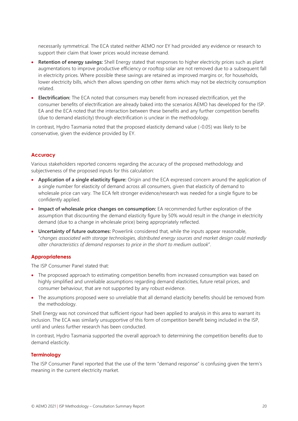necessarily symmetrical. The ECA stated neither AEMO nor EY had provided any evidence or research to support their claim that lower prices would increase demand.

- **Retention of energy savings:** Shell Energy stated that responses to higher electricity prices such as plant augmentations to improve productive efficiency or rooftop solar are not removed due to a subsequent fall in electricity prices. Where possible these savings are retained as improved margins or, for households, lower electricity bills, which then allows spending on other items which may not be electricity consumption related.
- **Electrification:** The ECA noted that consumers may benefit from increased electrification, yet the consumer benefits of electrification are already baked into the scenarios AEMO has developed for the ISP. EA and the ECA noted that the interaction between these benefits and any further competition benefits (due to demand elasticity) through electrification is unclear in the methodology.

In contrast, Hydro Tasmania noted that the proposed elasticity demand value (-0.05) was likely to be conservative, given the evidence provided by EY.

#### **Accuracy**

Various stakeholders reported concerns regarding the accuracy of the proposed methodology and subjectiveness of the proposed inputs for this calculation:

- **Application of a single elasticity figure:** Origin and the ECA expressed concern around the application of a single number for elasticity of demand across all consumers, given that elasticity of demand to wholesale price can vary. The ECA felt stronger evidence/research was needed for a single figure to be confidently applied.
- **Impact of wholesale price changes on consumption:** EA recommended further exploration of the assumption that discounting the demand elasticity figure by 50% would result in the change in electricity demand (due to a change in wholesale price) being appropriately reflected.
- **Uncertainty of future outcomes:** Powerlink considered that, while the inputs appear reasonable, "*changes associated with storage technologies, distributed energy sources and market design could markedly alter characteristics of demand responses to price in the short to medium outlook*".

#### **Appropriateness**

The ISP Consumer Panel stated that:

- The proposed approach to estimating competition benefits from increased consumption was based on highly simplified and unreliable assumptions regarding demand elasticities, future retail prices, and consumer behaviour, that are not supported by any robust evidence.
- The assumptions proposed were so unreliable that all demand elasticity benefits should be removed from the methodology.

Shell Energy was not convinced that sufficient rigour had been applied to analysis in this area to warrant its inclusion. The ECA was similarly unsupportive of this form of competition benefit being included in the ISP, until and unless further research has been conducted.

In contrast, Hydro Tasmania supported the overall approach to determining the competition benefits due to demand elasticity.

#### **Terminology**

The ISP Consumer Panel reported that the use of the term "demand response" is confusing given the term's meaning in the current electricity market.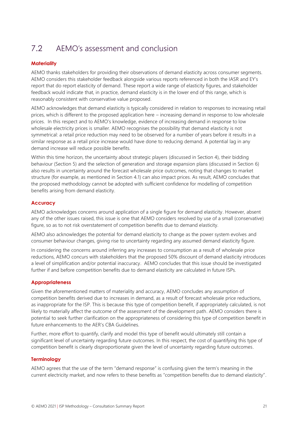## <span id="page-20-0"></span>7.2 AEMO's assessment and conclusion

#### **Materiality**

AEMO thanks stakeholders for providing their observations of demand elasticity across consumer segments. AEMO considers this stakeholder feedback alongside various reports referenced in both the IASR and EY's report that do report elasticity of demand. These report a wide range of elasticity figures, and stakeholder feedback would indicate that, in practice, demand elasticity is in the lower end of this range, which is reasonably consistent with conservative value proposed.

AEMO acknowledges that demand elasticity is typically considered in relation to responses to increasing retail prices, which is different to the proposed application here – increasing demand in response to low wholesale prices. In this respect and to AEMO's knowledge, evidence of increasing demand in response to low wholesale electricity prices is smaller. AEMO recognises the possibility that demand elasticity is not symmetrical: a retail price reduction may need to be observed for a number of years before it results in a similar response as a retail price increase would have done to reducing demand. A potential lag in any demand increase will reduce possible benefits.

Within this time horizon, the uncertainty about strategic players (discussed in Section 4), their bidding behaviour (Section 5) and the selection of generation and storage expansion plans (discussed in Section [6\)](#page-16-0) also results in uncertainty around the forecast wholesale price outcomes, noting that changes to market structure (for example, as mentioned in Section 4.1) can also impact prices. As result, AEMO concludes that the proposed methodology cannot be adopted with sufficient confidence for modelling of competition benefits arising from demand elasticity.

#### **Accuracy**

AEMO acknowledges concerns around application of a single figure for demand elasticity. However, absent any of the other issues raised, this issue is one that AEMO considers resolved by use of a small (conservative) figure, so as to not risk overstatement of competition benefits due to demand elasticity.

AEMO also acknowledges the potential for demand elasticity to change as the power system evolves and consumer behaviour changes, giving rise to uncertainty regarding any assumed demand elasticity figure.

In considering the concerns around inferring any increases to consumption as a result of wholesale price reductions, AEMO concurs with stakeholders that the proposed 50% discount of demand elasticity introduces a level of simplification and/or potential inaccuracy. AEMO concludes that this issue should be investigated further if and before competition benefits due to demand elasticity are calculated in future ISPs.

#### **Appropriateness**

Given the aforementioned matters of materiality and accuracy, AEMO concludes any assumption of competition benefits derived due to increases in demand, as a result of forecast wholesale price reductions, as inappropriate for the ISP. This is because this type of competition benefit, if appropriately calculated, is not likely to materially affect the outcome of the assessment of the development path. AEMO considers there is potential to seek further clarification on the appropriateness of considering this type of competition benefit in future enhancements to the AER's CBA Guidelines.

Further, more effort to quantify, clarify and model this type of benefit would ultimately still contain a significant level of uncertainty regarding future outcomes. In this respect, the cost of quantifying this type of competition benefit is clearly disproportionate given the level of uncertainty regarding future outcomes.

#### **Terminology**

AEMO agrees that the use of the term "demand response" is confusing given the term's meaning in the current electricity market, and now refers to these benefits as "competition benefits due to demand elasticity".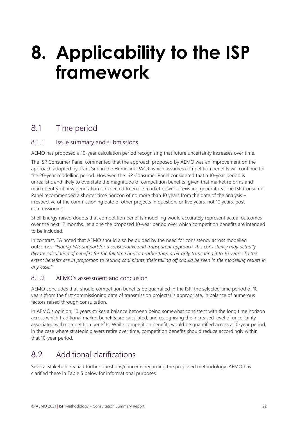## <span id="page-21-0"></span>**8. Applicability to the ISP framework**

### <span id="page-21-1"></span>8.1 Time period

#### 8.1.1 Issue summary and submissions

AEMO has proposed a 10-year calculation period recognising that future uncertainty increases over time.

The ISP Consumer Panel commented that the approach proposed by AEMO was an improvement on the approach adopted by TransGrid in the HumeLink PACR, which assumes competition benefits will continue for the 20-year modelling period. However, the ISP Consumer Panel considered that a 10-year period is unrealistic and likely to overstate the magnitude of competition benefits, given that market reforms and market entry of new generation is expected to erode market power of existing generators. The ISP Consumer Panel recommended a shorter time horizon of no more than 10 years from the date of the analysis – irrespective of the commissioning date of other projects in question, or five years, not 10 years, post commissioning.

Shell Energy raised doubts that competition benefits modelling would accurately represent actual outcomes over the next 12 months, let alone the proposed 10-year period over which competition benefits are intended to be included.

In contrast, EA noted that AEMO should also be guided by the need for consistency across modelled outcomes: *"Noting EA's support for a conservative and transparent approach, this consistency may actually dictate calculation of benefits for the full time horizon rather than arbitrarily truncating it to 10 years. To the extent benefits are in proportion to retiring coal plants, their tailing off should be seen in the modelling results in any case."*

#### 8.1.2 AEMO's assessment and conclusion

AEMO concludes that, should competition benefits be quantified in the ISP, the selected time period of 10 years (from the first commissioning date of transmission projects) is appropriate, in balance of numerous factors raised through consultation.

In AEMO's opinion, 10 years strikes a balance between being somewhat consistent with the long time horizon across which traditional market benefits are calculated, and recognising the increased level of uncertainty associated with competition benefits. While competition benefits would be quantified across a 10-year period, in the case where strategic players retire over time, competition benefits should reduce accordingly within that 10-year period.

## <span id="page-21-2"></span>8.2 Additional clarifications

Several stakeholders had further questions/concerns regarding the proposed methodology. AEMO has clarified these in [Table 5](#page-22-0) below for informational purposes.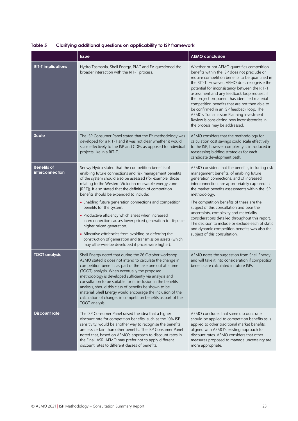<span id="page-22-0"></span>

| Table 5 | Clarifying additional questions on applicability to ISP framework |  |  |  |
|---------|-------------------------------------------------------------------|--|--|--|
|---------|-------------------------------------------------------------------|--|--|--|

|                                       | Issue                                                                                                                                                                                                                                                                                                                                                                                                                                                                                                                                                                                                                                                                                                                                                                    | <b>AEMO conclusion</b>                                                                                                                                                                                                                                                                                                                                                                                                                                                                                                                                                                     |
|---------------------------------------|--------------------------------------------------------------------------------------------------------------------------------------------------------------------------------------------------------------------------------------------------------------------------------------------------------------------------------------------------------------------------------------------------------------------------------------------------------------------------------------------------------------------------------------------------------------------------------------------------------------------------------------------------------------------------------------------------------------------------------------------------------------------------|--------------------------------------------------------------------------------------------------------------------------------------------------------------------------------------------------------------------------------------------------------------------------------------------------------------------------------------------------------------------------------------------------------------------------------------------------------------------------------------------------------------------------------------------------------------------------------------------|
| <b>RIT-T implications</b>             | Hydro Tasmania, Shell Energy, PIAC and EA questioned the<br>broader interaction with the RIT-T process.                                                                                                                                                                                                                                                                                                                                                                                                                                                                                                                                                                                                                                                                  | Whether or not AEMO quantifies competition<br>benefits within the ISP does not preclude or<br>require competition benefits to be quantified in<br>the RIT-T. However, AEMO does recognisie the<br>potential for inconsistency between the RIT-T<br>assessment and any feedback loop request if<br>the project proponent has identified material<br>competition benefits that are not then able to<br>be confirmed in an ISP feedback loop. The<br>AEMC's Transmission Planning Investment<br>Review is considering how inconsistencies in<br>the process may be addressed.                 |
| <b>Scale</b>                          | The ISP Consumer Panel stated that the EY methodology was<br>developed for a RIT-T and it was not clear whether it would<br>scale effectively to the ISP and CDPs as opposed to individual<br>projects like in a RIT-T.                                                                                                                                                                                                                                                                                                                                                                                                                                                                                                                                                  | AEMO considers that the methodology for<br>calculation cost savings could scale effectively<br>to the ISP, however complexity is introduced in<br>reassessing bidding strategies for each<br>candidate development path.                                                                                                                                                                                                                                                                                                                                                                   |
| <b>Benefits of</b><br>interconnection | Snowy Hydro stated that the competition benefits of<br>enabling future connections and risk management benefits<br>of the system should also be assessed (for example, those<br>relating to the Western Victorian renewable energy zone<br>[REZ]). It also stated that the definition of competition<br>benefits should be expanded to include:<br>• Enabling future generation connections and competition<br>benefits for the system.<br>• Productive efficiency which arises when increased<br>interconnection causes lower priced generation to displace<br>higher priced generation.<br>• Allocative efficiencies from avoiding or deferring the<br>construction of generation and transmission assets (which<br>may otherwise be developed if prices were higher). | AEMO considers that the benefits, including risk<br>management benefits, of enabling future<br>generation connections, and of increased<br>interconnection, are appropriately captured in<br>the market benefits assessments within the ISP<br>methodology.<br>The competition benefits of these are the<br>subject of this consultation and bear the<br>uncertainty, complexity and materiality<br>considerations detailed throughout this report.<br>The decision to include or exclude each of static<br>and dynamic competition benefits was also the<br>subject of this consultation. |
| <b>TOOT</b> analysis                  | Shell Energy noted that during the 26 October workshop<br>AEMO stated it does not intend to calculate the change in<br>competition benefits as part of the take one out at a time<br>(TOOT) analysis. When eventually the proposed<br>methodology is developed sufficiently via analysis and<br>consultation to be suitable for its inclusion in the benefits<br>analysis, should this class of benefits be shown to be<br>material, Shell Energy would encourage the inclusion of the<br>calculation of changes in competition benefits as part of the<br>TOOT analysis.                                                                                                                                                                                                | AEMO notes the suggestion from Shell Energy<br>and will take it into consideration if competition<br>benefits are calculated in future ISPs.                                                                                                                                                                                                                                                                                                                                                                                                                                               |
| <b>Discount rate</b>                  | The ISP Consumer Panel raised the idea that a higher<br>discount rate for competition benefits, such as the 10% ISP<br>sensitivity, would be another way to recognise the benefits<br>are less certain than other benefits. The ISP Consumer Panel<br>noted that, based on AEMO's approach to discount rates in<br>the Final IASR, AEMO may prefer not to apply different<br>discount rates to different classes of benefits.                                                                                                                                                                                                                                                                                                                                            | AEMO concludes that same discount rate<br>should be applied to competition benefits as is<br>applied to other traditional market benefits,<br>aligned with AEMO's existing approach to<br>discount rates. AEMO considers that other<br>measures proposed to manage uncertainty are<br>more appropriate.                                                                                                                                                                                                                                                                                    |